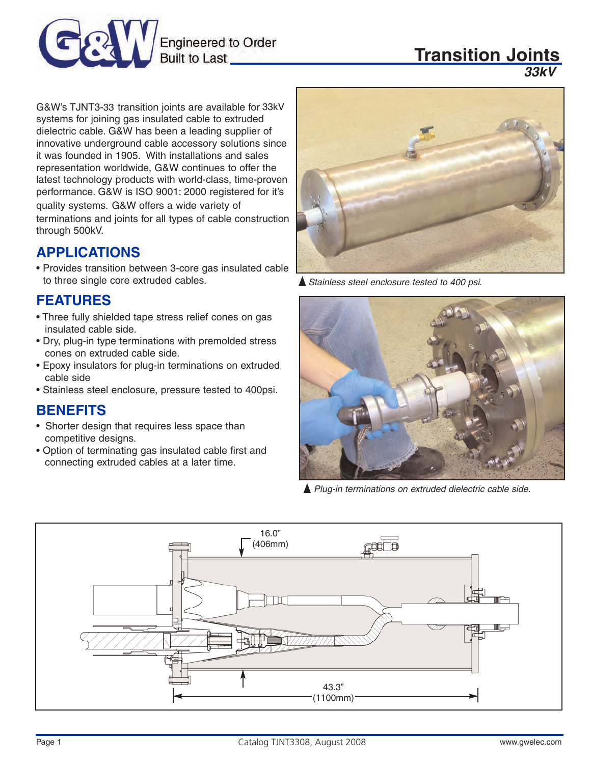

# **Transition Joints**

*35kV 33kV*

G&W's TJNT3-33 transition joints are available for 33kV systems for joining gas insulated cable to extruded dielectric cable. G&W has been a leading supplier of innovative underground cable accessory solutions since it was founded in 1905. With installations and sales representation worldwide, G&W continues to offer the latest technology products with world-class, time-proven performance. G&W is ISO 9001: 2000 registered for it's quality systems. G&W offers a wide variety of terminations and joints for all types of cable construction through 500kV.

#### **APPLICATIONS**

• Provides transition between 3-core gas insulated cable to three single core extruded cables.

## **FEATURES**

- Three fully shielded tape stress relief cones on gas insulated cable side.
- Dry, plug-in type terminations with premolded stress cones on extruded cable side.
- Epoxy insulators for plug-in terminations on extruded cable side
- Stainless steel enclosure, pressure tested to 400psi.

# **BENEFITS**

- Shorter design that requires less space than competitive designs.
- Option of terminating gas insulated cable first and connecting extruded cables at a later time.



**▲ Stainless steel enclosure tested to 400 psi.** 



Plug-in terminations on extruded dielectric cable side.